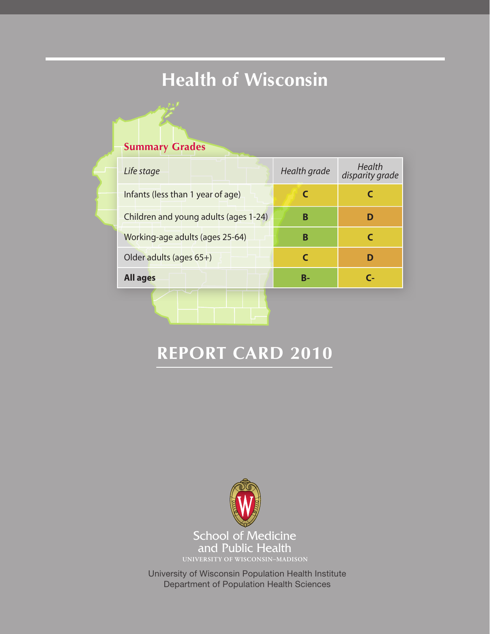# **Health of Wisconsin**

### **Summary Grades**

| Life stage                            | Health grade | Health<br>disparity grade |
|---------------------------------------|--------------|---------------------------|
| Infants (less than 1 year of age)     |              |                           |
| Children and young adults (ages 1-24) | в            | D                         |
| Working-age adults (ages 25-64)       | в            |                           |
| Older adults (ages 65+)               |              | D                         |
| <b>All ages</b>                       | B-           | r.                        |
|                                       |              |                           |

# **REPORT CARD 2010**



University of Wisconsin Population Health Institute Department of Population Health Sciences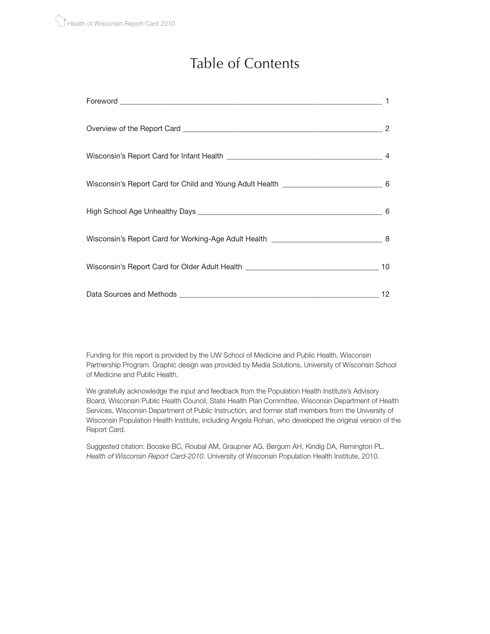## Table of Contents

| Wisconsin's Report Card for Child and Young Adult Health [100] [2005] [2006] [30] [30] [30] [30] [30] [30] [30 |    |
|----------------------------------------------------------------------------------------------------------------|----|
|                                                                                                                | 6  |
|                                                                                                                |    |
|                                                                                                                |    |
|                                                                                                                | 12 |

Funding for this report is provided by the UW School of Medicine and Public Health, Wisconsin Partnership Program. Graphic design was provided by Media Solutions, University of Wisconsin School of Medicine and Public Health.

We gratefully acknowledge the input and feedback from the Population Health Institute's Advisory Board, Wisconsin Public Health Council, State Health Plan Committee, Wisconsin Department of Health Services, Wisconsin Department of Public Instruction, and former staff members from the University of Wisconsin Population Health Institute, including Angela Rohan, who developed the original version of the Report Card.

Suggested citation: Booske BC, Roubal AM, Graupner AG, Bergum AH, Kindig DA, Remington PL. *Health of Wisconsin Report Card-2010*. University of Wisconsin Population Health Institute, 2010.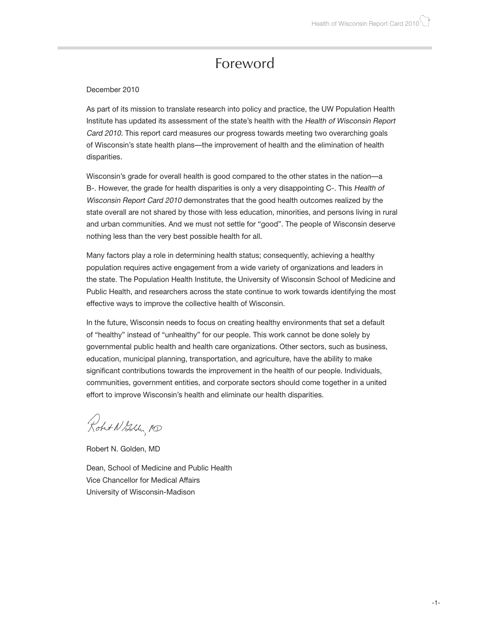### Foreword

#### December 2010

As part of its mission to translate research into policy and practice, the UW Population Health Institute has updated its assessment of the state's health with the Health of Wisconsin Report Card 2010. This report card measures our progress towards meeting two overarching goals of Wisconsin's state health plans—the improvement of health and the elimination of health disparities.

Wisconsin's grade for overall health is good compared to the other states in the nation—a B-. However, the grade for health disparities is only a very disappointing C-. This Health of Wisconsin Report Card 2010 demonstrates that the good health outcomes realized by the state overall are not shared by those with less education, minorities, and persons living in rural and urban communities. And we must not settle for "good". The people of Wisconsin deserve nothing less than the very best possible health for all.

Many factors play a role in determining health status; consequently, achieving a healthy population requires active engagement from a wide variety of organizations and leaders in the state. The Population Health Institute, the University of Wisconsin School of Medicine and Public Health, and researchers across the state continue to work towards identifying the most effective ways to improve the collective health of Wisconsin.

In the future, Wisconsin needs to focus on creating healthy environments that set a default of "healthy" instead of "unhealthy" for our people. This work cannot be done solely by governmental public health and health care organizations. Other sectors, such as business, education, municipal planning, transportation, and agriculture, have the ability to make significant contributions towards the improvement in the health of our people. Individuals, communities, government entities, and corporate sectors should come together in a united effort to improve Wisconsin's health and eliminate our health disparities.

Robert N Golden ND

Robert N. Golden, MD

Dean, School of Medicine and Public Health Vice Chancellor for Medical Affairs University of Wisconsin-Madison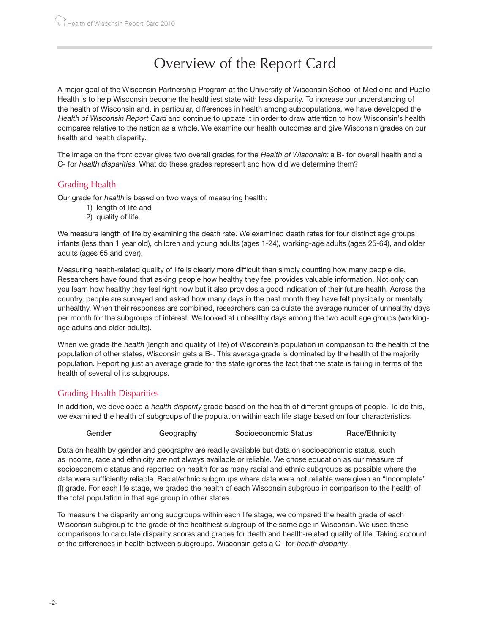## Overview of the Report Card

A major goal of the Wisconsin Partnership Program at the University of Wisconsin School of Medicine and Public Health is to help Wisconsin become the healthiest state with less disparity. To increase our understanding of the health of Wisconsin and, in particular, differences in health among subpopulations, we have developed the Health of Wisconsin Report Card and continue to update it in order to draw attention to how Wisconsin's health compares relative to the nation as a whole. We examine our health outcomes and give Wisconsin grades on our health and health disparity.

The image on the front cover gives two overall grades for the Health of Wisconsin: a B- for overall health and a C- for health disparities. What do these grades represent and how did we determine them?

#### Grading Health

Our grade for health is based on two ways of measuring health:

- 1) length of life and
- 2) quality of life.

We measure length of life by examining the death rate. We examined death rates for four distinct age groups: infants (less than 1 year old), children and young adults (ages 1-24), working-age adults (ages 25-64), and older adults (ages 65 and over).

Measuring health-related quality of life is clearly more difficult than simply counting how many people die. Researchers have found that asking people how healthy they feel provides valuable information. Not only can you learn how healthy they feel right now but it also provides a good indication of their future health. Across the country, people are surveyed and asked how many days in the past month they have felt physically or mentally unhealthy. When their responses are combined, researchers can calculate the average number of unhealthy days per month for the subgroups of interest. We looked at unhealthy days among the two adult age groups (workingage adults and older adults).

When we grade the *health* (length and quality of life) of Wisconsin's population in comparison to the health of the population of other states, Wisconsin gets a B-. This average grade is dominated by the health of the majority population. Reporting just an average grade for the state ignores the fact that the state is failing in terms of the health of several of its subgroups.

#### Grading Health Disparities

In addition, we developed a *health disparity* grade based on the health of different groups of people. To do this, we examined the health of subgroups of the population within each life stage based on four characteristics:

#### Gender **Geography** Socioeconomic Status **Race/Ethnicity**

Data on health by gender and geography are readily available but data on socioeconomic status, such as income, race and ethnicity are not always available or reliable. We chose education as our measure of socioeconomic status and reported on health for as many racial and ethnic subgroups as possible where the data were sufficiently reliable. Racial/ethnic subgroups where data were not reliable were given an "Incomplete" (I) grade. For each life stage, we graded the health of each Wisconsin subgroup in comparison to the health of the total population in that age group in other states.

To measure the disparity among subgroups within each life stage, we compared the health grade of each Wisconsin subgroup to the grade of the healthiest subgroup of the same age in Wisconsin. We used these comparisons to calculate disparity scores and grades for death and health-related quality of life. Taking account of the differences in health between subgroups, Wisconsin gets a C- for health disparity.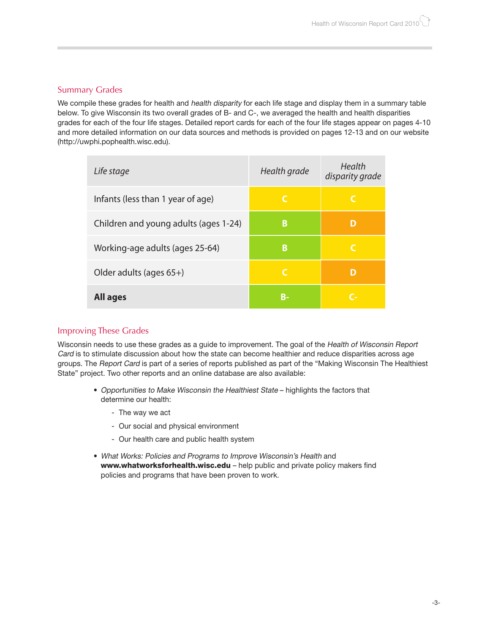#### Summary Grades

We compile these grades for health and health disparity for each life stage and display them in a summary table below. To give Wisconsin its two overall grades of B- and C-, we averaged the health and health disparities grades for each of the four life stages. Detailed report cards for each of the four life stages appear on pages 4-10 and more detailed information on our data sources and methods is provided on pages 12-13 and on our website (http://uwphi.pophealth.wisc.edu).

| Life stage                            | Health grade | Health<br>disparity grade |
|---------------------------------------|--------------|---------------------------|
| Infants (less than 1 year of age)     | C            | C                         |
| Children and young adults (ages 1-24) | B            | D                         |
| Working-age adults (ages 25-64)       | B            | C                         |
| Older adults (ages 65+)               | C            | D                         |
| <b>All ages</b>                       | В-           | C-                        |

#### Improving These Grades

Wisconsin needs to use these grades as a guide to improvement. The goal of the Health of Wisconsin Report Card is to stimulate discussion about how the state can become healthier and reduce disparities across age groups. The Report Card is part of a series of reports published as part of the "Making Wisconsin The Healthiest State" project. Two other reports and an online database are also available:

- Opportunities to Make Wisconsin the Healthiest State highlights the factors that determine our health:
	- The way we act
	- Our social and physical environment
	- Our health care and public health system
- What Works: Policies and Programs to Improve Wisconsin's Health and www.whatworksforhealth.wisc.edu - help public and private policy makers find policies and programs that have been proven to work.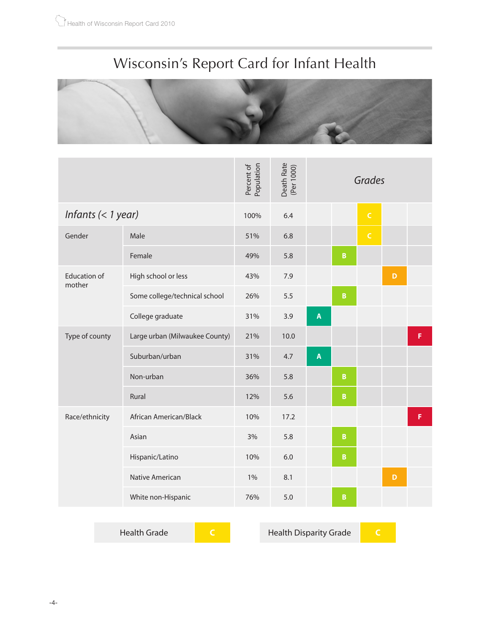# Wisconsin's Report Card for Infant Health



|                               |                                | Population<br>Percent of | Death Rate<br>(Per 1000) | Grades                  |                 |             |   |   |
|-------------------------------|--------------------------------|--------------------------|--------------------------|-------------------------|-----------------|-------------|---|---|
| Infants $(< 1$ year)          |                                | 100%                     | 6.4                      |                         |                 | $\mathsf C$ |   |   |
| Gender                        | Male                           | 51%                      | 6.8                      |                         |                 | $\mathsf C$ |   |   |
|                               | Female                         | 49%                      | 5.8                      |                         | $\mathbf B$     |             |   |   |
| <b>Education of</b><br>mother | High school or less            | 43%                      | 7.9                      |                         |                 |             | D |   |
|                               | Some college/technical school  | 26%                      | 5.5                      |                         | $\, {\bf B}$    |             |   |   |
|                               | College graduate               | 31%                      | 3.9                      | $\pmb{\mathsf{A}}$      |                 |             |   |   |
| Type of county                | Large urban (Milwaukee County) | 21%                      | 10.0                     |                         |                 |             |   | F |
|                               | Suburban/urban                 | 31%                      | 4.7                      | $\overline{\mathsf{A}}$ |                 |             |   |   |
|                               | Non-urban                      | 36%                      | 5.8                      |                         | $\pmb B$        |             |   |   |
|                               | Rural                          | 12%                      | 5.6                      |                         | $\, {\bf B}$    |             |   |   |
| Race/ethnicity                | African American/Black         | 10%                      | 17.2                     |                         |                 |             |   | F |
|                               | Asian                          | 3%                       | 5.8                      |                         | $\, {\bf B} \,$ |             |   |   |
|                               | Hispanic/Latino                | 10%                      | 6.0                      |                         | $\, {\bf B} \,$ |             |   |   |
|                               | Native American                | $1\%$                    | 8.1                      |                         |                 |             | D |   |
|                               | White non-Hispanic             | 76%                      | 5.0                      |                         | $\mathbf B$     |             |   |   |

Health Grade **C** Health Disparity Grade **C**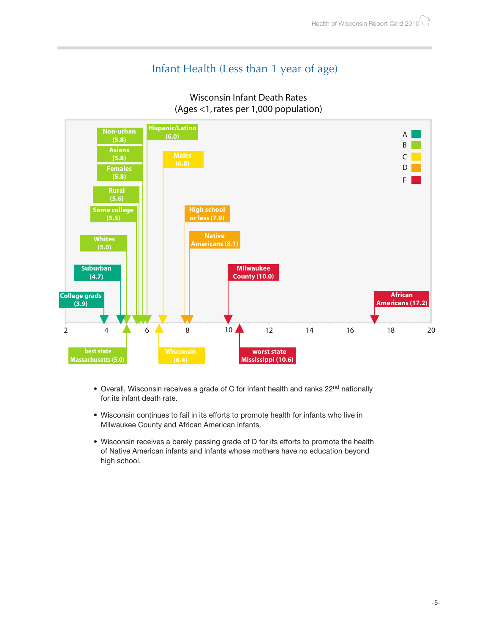### Infant Health (Less than 1 year of age)





- Overall, Wisconsin receives a grade of C for infant health and ranks 22<sup>nd</sup> nationally for its infant death rate.
- Wisconsin continues to fail in its efforts to promote health for infants who live in Milwaukee County and African American infants.
- Wisconsin receives a barely passing grade of D for its efforts to promote the health of Native American infants and infants whose mothers have no education beyond high school.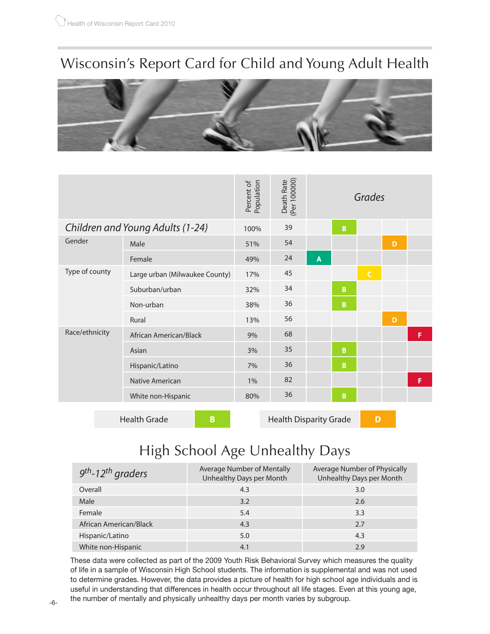## Wisconsin's Report Card for Child and Young Adult Health



|                | Population<br>Percent of         | Death Rate<br>(Per 100000) |    |   | Grades      |              |   |   |
|----------------|----------------------------------|----------------------------|----|---|-------------|--------------|---|---|
|                | Children and Young Adults (1-24) | 100%                       | 39 |   | B           |              |   |   |
| Gender         | Male                             | 51%                        | 54 |   |             |              | D |   |
|                | Female                           | 49%                        | 24 | A |             |              |   |   |
| Type of county | Large urban (Milwaukee County)   | 17%                        | 45 |   |             | $\mathsf{C}$ |   |   |
|                | Suburban/urban                   | 32%                        | 34 |   | B           |              |   |   |
|                | Non-urban                        | 38%                        | 36 |   | $\mathbf B$ |              |   |   |
|                | Rural                            | 13%                        | 56 |   |             |              | D |   |
| Race/ethnicity | African American/Black           | 9%                         | 68 |   |             |              |   | F |
|                | Asian                            | 3%                         | 35 |   | B           |              |   |   |
|                | Hispanic/Latino                  | 7%                         | 36 |   | B.          |              |   |   |
|                | Native American                  | 1%                         | 82 |   |             |              |   | F |
|                | White non-Hispanic               | 80%                        | 36 |   | B           |              |   |   |
|                |                                  |                            |    |   |             |              |   |   |

Health Grade **B B** Health Disparity Grade

## High School Age Unhealthy Days

| $9th$ -12 <sup>th</sup> graders | Average Number of Mentally<br>Unhealthy Days per Month | Average Number of Physically<br>Unhealthy Days per Month |
|---------------------------------|--------------------------------------------------------|----------------------------------------------------------|
| Overall                         | 4.3                                                    | 3.0                                                      |
| Male                            | 3.2                                                    | 2.6                                                      |
| Female                          | 5.4                                                    | 3.3                                                      |
| African American/Black          | 4.3                                                    | 2.7                                                      |
| Hispanic/Latino                 | 5.0                                                    | 4.3                                                      |
| White non-Hispanic              | 4.1                                                    | 2.9                                                      |

These data were collected as part of the 2009 Youth Risk Behavioral Survey which measures the quality of life in a sample of Wisconsin High School students. The information is supplemental and was not used to determine grades. However, the data provides a picture of health for high school age individuals and is useful in understanding that differences in health occur throughout all life stages. Even at this young age, the number of mentally and physically unhealthy days per month varies by subgroup.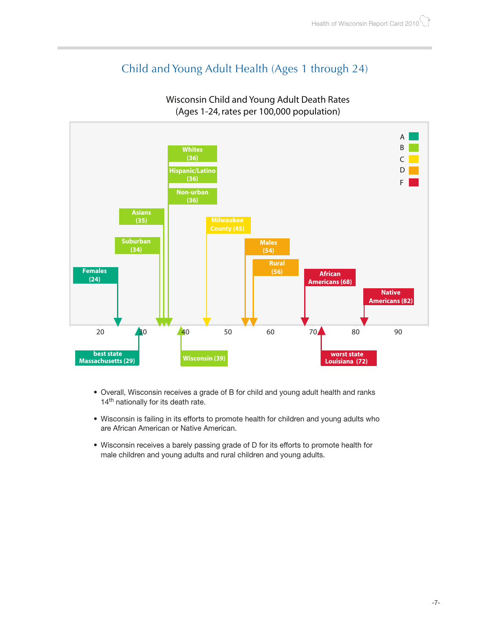### Child and Young Adult Health (Ages 1 through 24)



#### Wisconsin Child and Young Adult Death Rates (Ages 1-24, rates per 100,000 population)

- Overall, Wisconsin receives a grade of B for child and young adult health and ranks 14<sup>th</sup> nationally for its death rate.
- Wisconsin is failing in its efforts to promote health for children and young adults who are African American or Native American.
- Wisconsin receives a barely passing grade of D for its efforts to promote health for male children and young adults and rural children and young adults.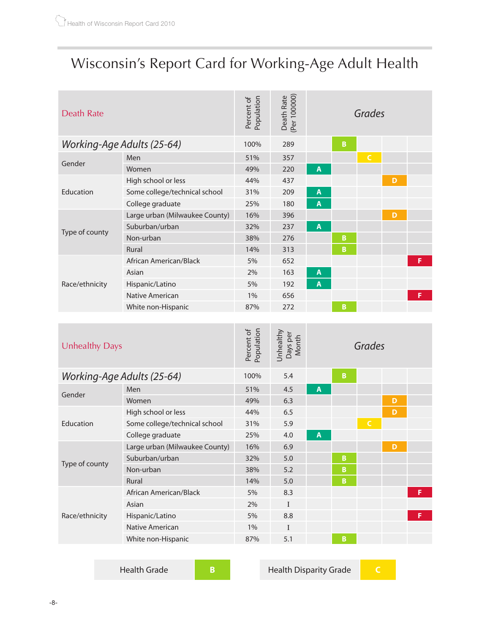# Wisconsin's Report Card for Working-Age Adult Health

| Death Rate                 |                                | Population<br>Percent of | Death Rate<br>(Per 100000) | Grades |   |              |   |   |
|----------------------------|--------------------------------|--------------------------|----------------------------|--------|---|--------------|---|---|
| Working-Age Adults (25-64) |                                | 100%                     | 289                        |        | B |              |   |   |
| Gender                     | Men                            | 51%                      | 357                        |        |   | $\mathsf{C}$ |   |   |
|                            | Women                          | 49%                      | 220                        | A      |   |              |   |   |
|                            | High school or less            | 44%                      | 437                        |        |   |              | D |   |
| Education                  | Some college/technical school  | 31%                      | 209                        | A      |   |              |   |   |
|                            | College graduate               | 25%                      | 180                        | A      |   |              |   |   |
|                            | Large urban (Milwaukee County) | 16%                      | 396                        |        |   |              | D |   |
|                            | Suburban/urban                 | 32%                      | 237                        | A      |   |              |   |   |
| Type of county             | Non-urban                      | 38%                      | 276                        |        | B |              |   |   |
|                            | Rural                          | 14%                      | 313                        |        | B |              |   |   |
|                            | African American/Black         | 5%                       | 652                        |        |   |              |   | F |
|                            | Asian                          | 2%                       | 163                        | A      |   |              |   |   |
| Race/ethnicity             | Hispanic/Latino                | 5%                       | 192                        | A      |   |              |   |   |
|                            | <b>Native American</b>         | 1%                       | 656                        |        |   |              |   | F |
|                            | White non-Hispanic             | 87%                      | 272                        |        | В |              |   |   |

| <b>Unhealthy Days</b>      |                                | Population<br>Percent of | Unhealthy<br>Days per<br>Month | Grades |   |              |   |   |
|----------------------------|--------------------------------|--------------------------|--------------------------------|--------|---|--------------|---|---|
| Working-Age Adults (25-64) |                                | 100%                     | 5.4                            |        | B |              |   |   |
|                            | Men                            | 51%                      | 4.5                            | A      |   |              |   |   |
| Gender                     | Women                          | 49%                      | 6.3                            |        |   |              | D |   |
|                            | High school or less            | 44%                      | 6.5                            |        |   |              | D |   |
| Education                  | Some college/technical school  | 31%                      | 5.9                            |        |   | $\mathsf{C}$ |   |   |
|                            | College graduate               | 25%                      | 4.0                            | A      |   |              |   |   |
|                            | Large urban (Milwaukee County) | 16%                      | 6.9                            |        |   |              | D |   |
|                            | Suburban/urban                 | 32%                      | 5.0                            |        | B |              |   |   |
| Type of county             | Non-urban                      | 38%                      | 5.2                            |        | B |              |   |   |
|                            | Rural                          | 14%                      | 5.0                            |        | B |              |   |   |
|                            | African American/Black         | 5%                       | 8.3                            |        |   |              |   | F |
| Race/ethnicity             | Asian                          | 2%                       | $\mathbf{I}$                   |        |   |              |   |   |
|                            | Hispanic/Latino                | 5%                       | 8.8                            |        |   |              |   | F |
|                            | Native American                | 1%                       | I                              |        |   |              |   |   |
|                            | White non-Hispanic             | 87%                      | 5.1                            |        | B |              |   |   |

**Health Grade B B** Health Disparity Grade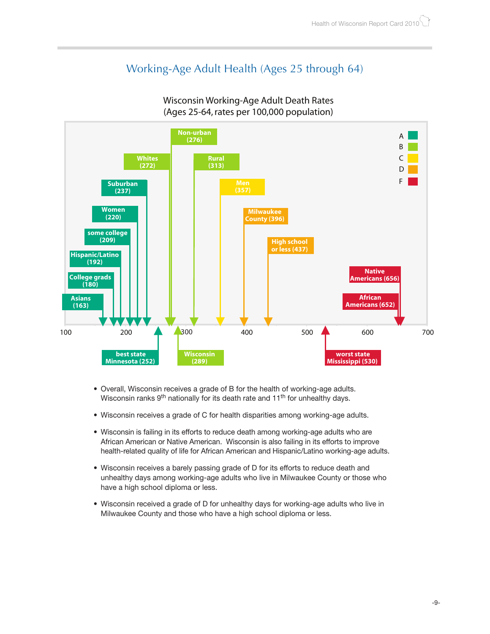### Working-Age Adult Health (Ages 25 through 64)



#### Wisconsin Working-Age Adult Death Rates (Ages 25-64, rates per 100,000 population)

- Overall, Wisconsin receives a grade of B for the health of working-age adults. Wisconsin ranks 9<sup>th</sup> nationally for its death rate and 11<sup>th</sup> for unhealthy days.
- Wisconsin receives a grade of C for health disparities among working-age adults.
- Wisconsin is failing in its efforts to reduce death among working-age adults who are African American or Native American. Wisconsin is also failing in its efforts to improve health-related quality of life for African American and Hispanic/Latino working-age adults.
- Wisconsin receives a barely passing grade of D for its efforts to reduce death and unhealthy days among working-age adults who live in Milwaukee County or those who have a high school diploma or less.
- Wisconsin received a grade of D for unhealthy days for working-age adults who live in Milwaukee County and those who have a high school diploma or less.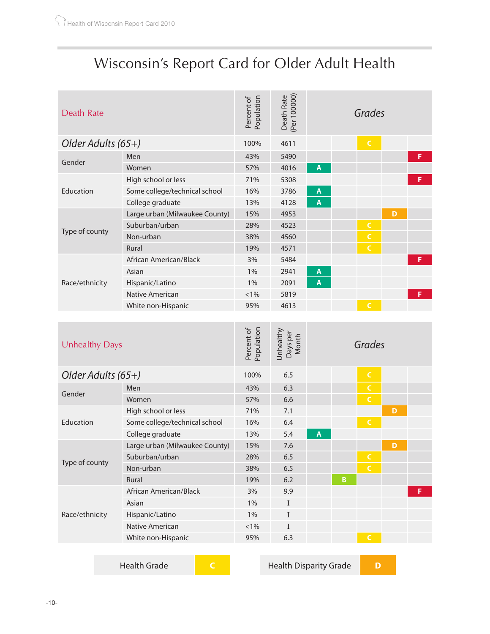## Wisconsin's Report Card for Older Adult Health

| <b>Death Rate</b>     |                                | Population<br>Percent of | Death Rate<br>(Per 100000)     |                    | Grades         |   |   |
|-----------------------|--------------------------------|--------------------------|--------------------------------|--------------------|----------------|---|---|
| Older Adults (65+)    |                                | 100%                     | 4611                           |                    | $\mathsf{C}$   |   |   |
| Gender                | Men                            | 43%                      | 5490                           |                    |                |   | F |
|                       | Women                          | 57%                      | 4016                           | $\mathbf{A}$       |                |   |   |
|                       | High school or less            | 71%                      | 5308                           |                    |                |   | F |
| Education             | Some college/technical school  | 16%                      | 3786                           | A                  |                |   |   |
|                       | College graduate               | 13%                      | 4128                           | $\overline{A}$     |                |   |   |
|                       | Large urban (Milwaukee County) | 15%                      | 4953                           |                    |                | D |   |
|                       | Suburban/urban                 | 28%                      | 4523                           |                    | $\mathsf C$    |   |   |
| Type of county        | Non-urban                      | 38%                      | 4560                           |                    | $\mathsf{C}$   |   |   |
|                       | <b>Rural</b>                   | 19%                      | 4571                           |                    | $\overline{C}$ |   |   |
|                       | African American/Black         | 3%                       | 5484                           |                    |                |   | F |
|                       | Asian                          | 1%                       | 2941                           | $\pmb{\mathsf{A}}$ |                |   |   |
| Race/ethnicity        | Hispanic/Latino                | 1%                       | 2091                           | $\overline{A}$     |                |   |   |
|                       | Native American                | $< 1\%$                  | 5819                           |                    |                |   | F |
|                       | White non-Hispanic             | 95%                      | 4613                           |                    | $\mathsf{C}$   |   |   |
|                       |                                |                          |                                |                    |                |   |   |
| <b>Unhealthy Days</b> |                                | Population<br>Percent of | Unhealthy<br>Days per<br>Month |                    | Grades         |   |   |
| Older Adults (65+)    |                                | 100%                     | 6.5                            |                    | $\mathsf{C}$   |   |   |
| Gender                | Men                            | 43%                      | 6.3                            |                    | $\mathsf C$    |   |   |
|                       | Women                          | 57%                      | 6.6                            |                    | $\overline{C}$ |   |   |
|                       | High school or less            | 71%                      | 7.1                            |                    |                | D |   |
| Education             | Some college/technical school  | 16%                      | 6.4                            |                    | $\mathsf{C}$   |   |   |
|                       | College graduate               | 13%                      | 5.4                            | $\pmb{\mathsf{A}}$ |                |   |   |
|                       | Large urban (Milwaukee County) | 15%                      | 7.6                            |                    |                | D |   |

Type of county Suburban/urban 28% 6.5 Non-urban 38% 6.5 **C** Rural 19% 6.2 **B** Race/ethnicity African American/Black 3% 9.9 **F** Asian 1% I Hispanic/Latino 1% I Native American and  $\leq 1\%$  I White non-Hispanic 95% 6.3

Health Grade **C** Health Disparity Grade **D**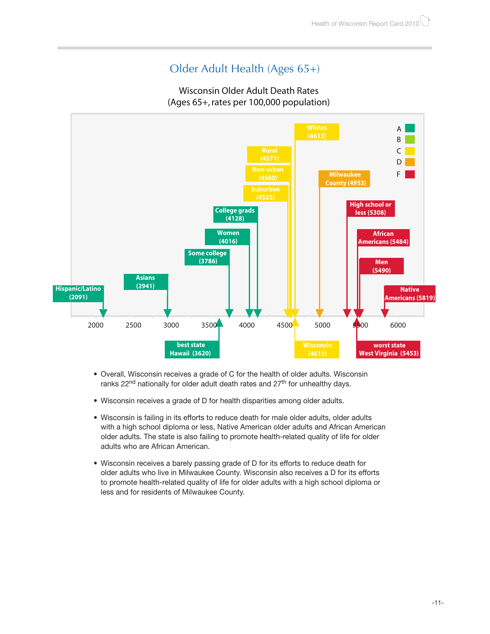### Older Adult Health (Ages 65+)

#### Wisconsin Older Adult Death Rates (Ages 65+, rates per 100,000 population)



- Overall, Wisconsin receives a grade of C for the health of older adults. Wisconsin ranks  $22<sup>nd</sup>$  nationally for older adult death rates and  $27<sup>th</sup>$  for unhealthy days.
- Wisconsin receives a grade of D for health disparities among older adults.
- Wisconsin is failing in its efforts to reduce death for male older adults, older adults with a high school diploma or less, Native American older adults and African American older adults. The state is also failing to promote health-related quality of life for older adults who are African American.
- Wisconsin receives a barely passing grade of D for its efforts to reduce death for older adults who live in Milwaukee County. Wisconsin also receives a D for its efforts to promote health-related quality of life for older adults with a high school diploma or less and for residents of Milwaukee County.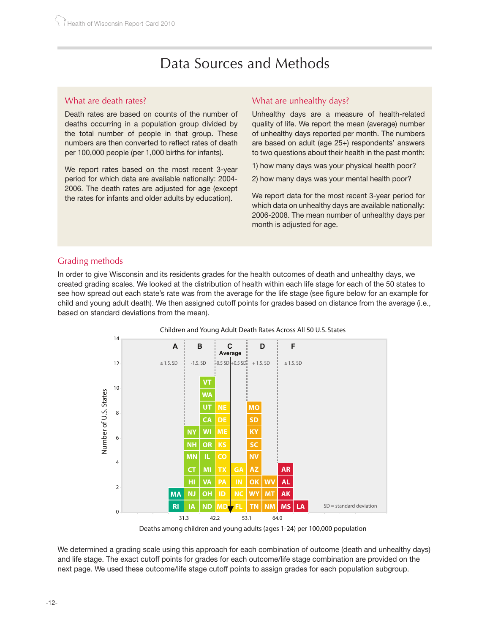## Data Sources and Methods

#### What are death rates?

Death rates are based on counts of the number of deaths occurring in a population group divided by the total number of people in that group. These numbers are then converted to reflect rates of death per 100,000 people (per 1,000 births for infants).

We report rates based on the most recent 3-year period for which data are available nationally: 2004- 2006. The death rates are adjusted for age (except the rates for infants and older adults by education).

#### What are unhealthy days?

Unhealthy days are a measure of health-related quality of life. We report the mean (average) number of unhealthy days reported per month. The numbers are based on adult (age 25+) respondents' answers to two questions about their health in the past month:

- 1) how many days was your physical health poor?
- 2) how many days was your mental health poor?

We report data for the most recent 3-year period for which data on unhealthy days are available nationally: 2006-2008. The mean number of unhealthy days per month is adjusted for age.

#### Grading methods

In order to give Wisconsin and its residents grades for the health outcomes of death and unhealthy days, we created grading scales. We looked at the distribution of health within each life stage for each of the 50 states to see how spread out each state's rate was from the average for the life stage (see figure below for an example for child and young adult death). We then assigned cutoff points for grades based on distance from the average (i.e., based on standard deviations from the mean).





Deaths among children and young adults (ages 1-24) per 100,000 population

We determined a grading scale using this approach for each combination of outcome (death and unhealthy days) and life stage. The exact cutoff points for grades for each outcome/life stage combination are provided on the next page. We used these outcome/life stage cutoff points to assign grades for each population subgroup.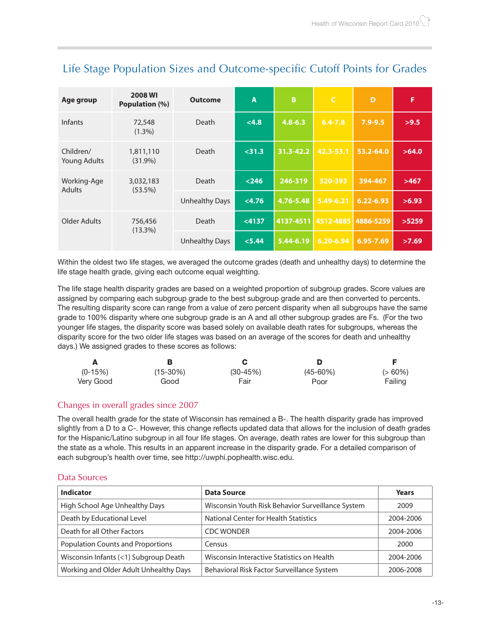| Age group                        | <b>2008 WI</b><br>Population (%) | <b>Outcome</b>        | A        | B             | $\mathsf{C}$ | D             | F     |
|----------------------------------|----------------------------------|-----------------------|----------|---------------|--------------|---------------|-------|
| <b>Infants</b>                   | 72,548<br>$(1.3\%)$              | Death                 | < 4.8    | $4.8 - 6.3$   | $6.4 - 7.8$  | $7.9 - 9.5$   | >9.5  |
| Children/<br><b>Young Adults</b> | 1,811,110<br>$(31.9\%)$          | Death                 | $<$ 31.3 | $31.3 - 42.2$ | 42.3-53.1    | 53.2-64.0     | >64.0 |
| Working-Age<br><b>Adults</b>     | 3,032,183<br>$(53.5\%)$          | Death                 | $< 246$  | 246-319       | 320-393      | 394-467       | >467  |
|                                  |                                  | <b>Unhealthy Days</b> | < 4.76   | 4.76-5.48     | 5.49-6.21    | $6.22 - 6.93$ | >6.93 |
| Older Adults                     | 756,456<br>$(13.3\%)$            | Death                 | < 4137   | 4137-4511     | 4512-4885    | 4886-5259     | >5259 |
|                                  |                                  | <b>Unhealthy Days</b> | < 5.44   | 5.44-6.19     | 6.20-6.94    | $6.95 - 7.69$ | >7.69 |

### Life Stage Population Sizes and Outcome-specific Cutoff Points for Grades

Within the oldest two life stages, we averaged the outcome grades (death and unhealthy days) to determine the life stage health grade, giving each outcome equal weighting.

The life stage health disparity grades are based on a weighted proportion of subgroup grades. Score values are assigned by comparing each subgroup grade to the best subgroup grade and are then converted to percents. The resulting disparity score can range from a value of zero percent disparity when all subgroups have the same grade to 100% disparity where one subgroup grade is an A and all other subgroup grades are Fs. (For the two younger life stages, the disparity score was based solely on available death rates for subgroups, whereas the disparity score for the two older life stages was based on an average of the scores for death and unhealthy days.) We assigned grades to these scores as follows:

| А         |             |            |               |           |
|-----------|-------------|------------|---------------|-----------|
| $(0-15%)$ | $(15-30\%)$ | $(30-45%)$ | $(45 - 60\%)$ | $(>60\%)$ |
| Very Good | Good        | Fair       | Poor          | Failing   |

#### Changes in overall grades since 2007

The overall health grade for the state of Wisconsin has remained a B-. The health disparity grade has improved slightly from a D to a C-. However, this change reflects updated data that allows for the inclusion of death grades for the Hispanic/Latino subgroup in all four life stages. On average, death rates are lower for this subgroup than the state as a whole. This results in an apparent increase in the disparity grade. For a detailed comparison of each subgroup's health over time, see http://uwphi.pophealth.wisc.edu.

#### Data Sources

| <b>Indicator</b>                         | <b>Data Source</b>                                | Years     |
|------------------------------------------|---------------------------------------------------|-----------|
| High School Age Unhealthy Days           | Wisconsin Youth Risk Behavior Surveillance System | 2009      |
| Death by Educational Level               | <b>National Center for Health Statistics</b>      | 2004-2006 |
| Death for all Other Factors              | <b>CDC WONDER</b>                                 | 2004-2006 |
| <b>Population Counts and Proportions</b> | Census                                            | 2000      |
| Wisconsin Infants (<1) Subgroup Death    | Wisconsin Interactive Statistics on Health        | 2004-2006 |
| Working and Older Adult Unhealthy Days   | Behavioral Risk Factor Surveillance System        | 2006-2008 |